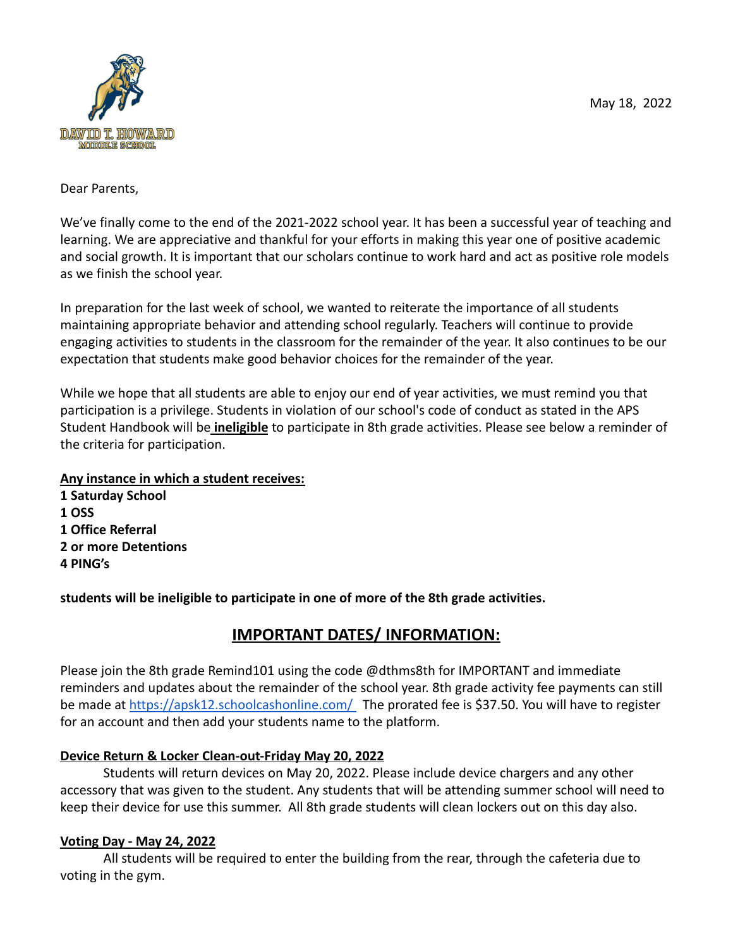

Dear Parents,

We've finally come to the end of the 2021-2022 school year. It has been a successful year of teaching and learning. We are appreciative and thankful for your efforts in making this year one of positive academic and social growth. It is important that our scholars continue to work hard and act as positive role models as we finish the school year.

In preparation for the last week of school, we wanted to reiterate the importance of all students maintaining appropriate behavior and attending school regularly. Teachers will continue to provide engaging activities to students in the classroom for the remainder of the year. It also continues to be our expectation that students make good behavior choices for the remainder of the year.

While we hope that all students are able to enjoy our end of year activities, we must remind you that participation is a privilege. Students in violation of our school's code of conduct as stated in the APS Student Handbook will be **ineligible** to participate in 8th grade activities. Please see below a reminder of the criteria for participation.

### **Any instance in which a student receives:**

**1 Saturday School 1 OSS 1 Office Referral 2 or more Detentions 4 PING's**

**students will be ineligible to participate in one of more of the 8th grade activities.**

# **IMPORTANT DATES/ INFORMATION:**

Please join the 8th grade Remind101 using the code @dthms8th for IMPORTANT and immediate reminders and updates about the remainder of the school year. 8th grade activity fee payments can still be made at <https://apsk12.schoolcashonline.com/> The prorated fee is \$37.50. You will have to register for an account and then add your students name to the platform.

# **Device Return & Locker Clean-out-Friday May 20, 2022**

Students will return devices on May 20, 2022. Please include device chargers and any other accessory that was given to the student. Any students that will be attending summer school will need to keep their device for use this summer. All 8th grade students will clean lockers out on this day also.

# **Voting Day - May 24, 2022**

All students will be required to enter the building from the rear, through the cafeteria due to voting in the gym.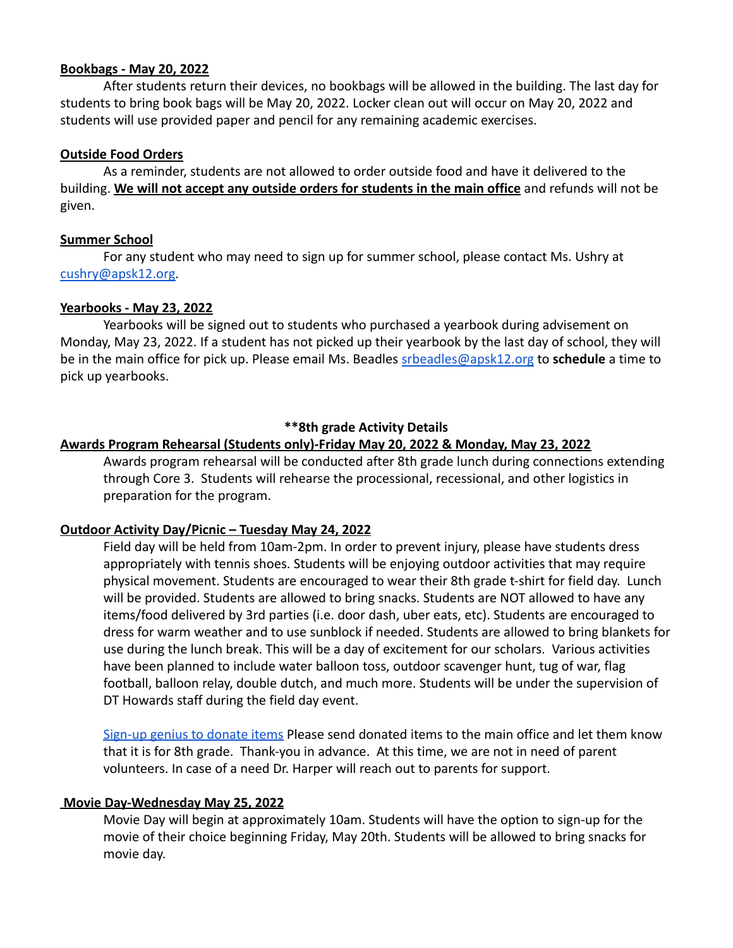#### **Bookbags - May 20, 2022**

After students return their devices, no bookbags will be allowed in the building. The last day for students to bring book bags will be May 20, 2022. Locker clean out will occur on May 20, 2022 and students will use provided paper and pencil for any remaining academic exercises.

#### **Outside Food Orders**

As a reminder, students are not allowed to order outside food and have it delivered to the building. **We will not accept any outside orders for students in the main office** and refunds will not be given.

#### **Summer School**

For any student who may need to sign up for summer school, please contact Ms. Ushry at [cushry@apsk12.org.](mailto:cushry@apsk12.org)

#### **Yearbooks - May 23, 2022**

Yearbooks will be signed out to students who purchased a yearbook during advisement on Monday, May 23, 2022. If a student has not picked up their yearbook by the last day of school, they will be in the main office for pick up. Please email Ms. Beadles srbeadles@apsk12.org to **schedule** a time to pick up yearbooks.

#### **\*\*8th grade Activity Details**

#### **Awards Program Rehearsal (Students only)-Friday May 20, 2022 & Monday, May 23, 2022**

Awards program rehearsal will be conducted after 8th grade lunch during connections extending through Core 3. Students will rehearse the processional, recessional, and other logistics in preparation for the program.

#### **Outdoor Activity Day/Picnic – Tuesday May 24, 2022**

Field day will be held from 10am-2pm. In order to prevent injury, please have students dress appropriately with tennis shoes. Students will be enjoying outdoor activities that may require physical movement. Students are encouraged to wear their 8th grade t-shirt for field day. Lunch will be provided. Students are allowed to bring snacks. Students are NOT allowed to have any items/food delivered by 3rd parties (i.e. door dash, uber eats, etc). Students are encouraged to dress for warm weather and to use sunblock if needed. Students are allowed to bring blankets for use during the lunch break. This will be a day of excitement for our scholars. Various activities have been planned to include water balloon toss, outdoor scavenger hunt, tug of war, flag football, balloon relay, double dutch, and much more. Students will be under the supervision of DT Howards staff during the field day event.

[Sign-up genius to donate items](https://www.signupgenius.com/go/9040F49ABA62AA0FB6-8thgrade) Please send donated items to the main office and let them know that it is for 8th grade. Thank-you in advance. At this time, we are not in need of parent volunteers. In case of a need Dr. Harper will reach out to parents for support.

#### **Movie Day-Wednesday May 25, 2022**

Movie Day will begin at approximately 10am. Students will have the option to sign-up for the movie of their choice beginning Friday, May 20th. Students will be allowed to bring snacks for movie day.